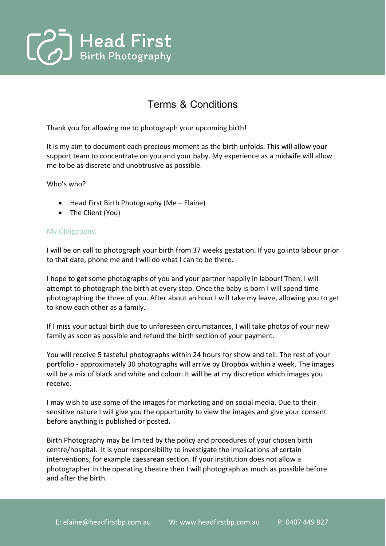

## Terms & Conditions

Thank you for allowing me to photograph your upcoming birth!

It is my aim to document each precious moment as the birth unfolds. This will allow your support team to concentrate on you and your baby. My experience as a midwife will allow me to be as discrete and unobtrusive as possible.

Who's who?

- Head First Birth Photography (Me Elaine)
- The Client (You)

## My Obligations:

I will be on call to photograph your birth from 37 weeks gestation. If you go into labour prior to that date, phone me and I will do what I can to be there.

I hope to get some photographs of you and your partner happily in labour! Then, I will attempt to photograph the birth at every step. Once the baby is born I will spend time photographing the three of you. After about an hour I will take my leave, allowing you to get to know each other as a family.

If I miss your actual birth due to unforeseen circumstances, I will take photos of your new family as soon as possible and refund the birth section of your payment.

You will receive 5 tasteful photographs within 24 hours for show and tell. The rest of your portfolio - approximately 30 photographs will arrive by Dropbox within a week. The images will be a mix of black and white and colour. It will be at my discretion which images you receive.

I may wish to use some of the images for marketing and on social media. Due to their sensitive nature I will give you the opportunity to view the images and give your consent before anything is published or posted.

Birth Photography may be limited by the policy and procedures of your chosen birth centre/hospital. It is your responsibility to investigate the implications of certain interventions, for example caesarean section. If your institution does not allow a photographer in the operating theatre then I will photograph as much as possible before and after the birth.